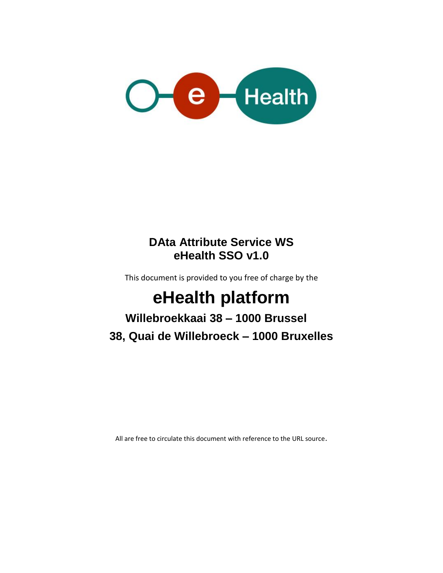

### **DAta Attribute Service WS eHealth SSO v1.0**

This document is provided to you free of charge by the

# **eHealth platform**

## **Willebroekkaai 38 – 1000 Brussel 38, Quai de Willebroeck – 1000 Bruxelles**

All are free to circulate this document with reference to the URL source.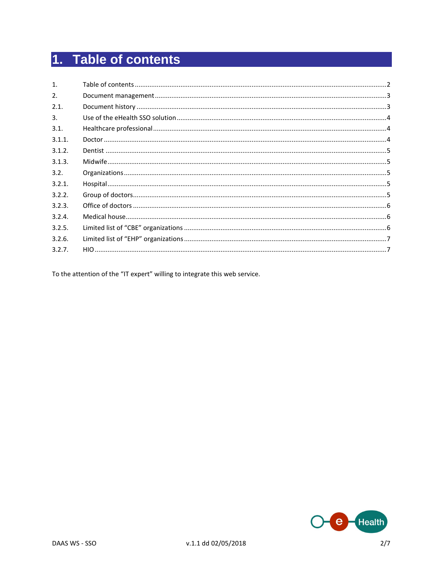## 1. Table of contents

| $\mathbf{1}$ . |  |
|----------------|--|
| 2.             |  |
| 2.1.           |  |
| 3.             |  |
| 3.1.           |  |
| 3.1.1.         |  |
| 3.1.2.         |  |
| 3.1.3.         |  |
| 3.2.           |  |
| 3.2.1.         |  |
| 3.2.2.         |  |
| 3.2.3.         |  |
| 3.2.4.         |  |
| 3.2.5.         |  |
| 3.2.6.         |  |
| 3.2.7.         |  |

To the attention of the "IT expert" willing to integrate this web service.

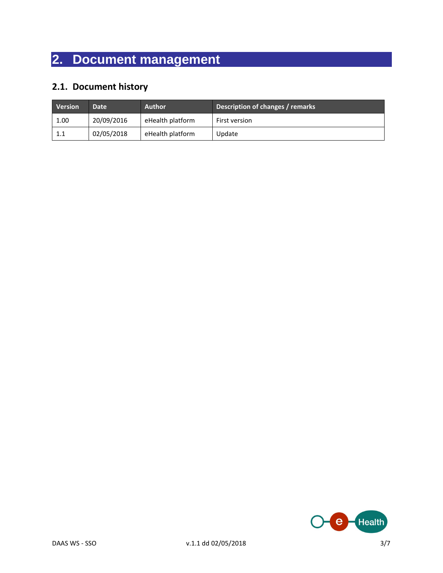## **2. Document management**

### **2.1. Document history**

| <b>Version</b> | Date <sup>1</sup> | <b>Author</b>    | Description of changes / remarks |
|----------------|-------------------|------------------|----------------------------------|
| 1.00           | 20/09/2016        | eHealth platform | First version                    |
| 1.1            | 02/05/2018        | eHealth platform | Update                           |

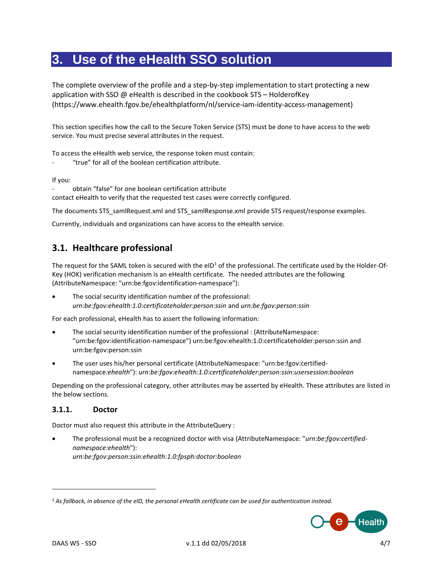### **3. Use of the eHealth SSO solution**

The complete overview of the profile and a step-by-step implementation to start protecting a new application with SSO  $\omega$  eHealth is described in the cookbook STS – HolderofKey [\(https://www.ehealth.fgov.be/ehealthplatform/nl/service-iam-identity-access-management\)](https://www.ehealth.fgov.be/ehealthplatform/nl/service-iam-identity-access-management)

This section specifies how the call to the Secure Token Service (STS) must be done to have access to the web service. You must precise several attributes in the request.

To access the eHealth web service, the response token must contain:

"true" for all of the boolean certification attribute.

If you:

- obtain "false" for one boolean certification attribute

contact eHealth to verify that the requested test cases were correctly configured.

The documents STS\_samlRequest.xml and STS\_samlResponse.xml provide STS request/response examples.

Currently, individuals and organizations can have access to the eHealth service.

#### **3.1. Healthcare professional**

The request for the SAML token is secured with the  $eID<sup>1</sup>$  of the professional. The certificate used by the Holder-Of-Key (HOK) verification mechanism is an eHealth certificate. The needed attributes are the following (AttributeNamespace: "urn:be:fgov:identification-namespace"):

 The social security identification number of the professional: *urn:be:fgov:ehealth:1.0:certificateholder:person:ssin* and *urn:be:fgov:person:ssin*

For each professional, eHealth has to assert the following information:

- The social security identification number of the professional : (AttributeNamespace: "urn:be:fgov:identification-namespace") urn:be:fgov:ehealth:1.0:certificateholder:person:ssin and urn:be:fgov:person:ssin
- The user uses his/her personal certificate (AttributeNamespace: "urn:be:fgov:certifiednamespace*:ehealth*"): *urn:be:fgov:ehealth:1.0:certificateholder:person:ssin:usersession:boolean*

Depending on the professional category, other attributes may be asserted by eHealth. These attributes are listed in the below sections.

#### **3.1.1. Doctor**

Doctor must also request this attribute in the AttributeQuery :

 The professional must be a recognized doctor with visa (AttributeNamespace: "*urn:be:fgov:certifiednamespace:ehealth*"): *urn:be:fgov:person:ssin:ehealth:1.0:fpsph:doctor:boolean*

*<sup>1</sup> As fallback, in absence of the eID, the personal eHealth certificate can be used for authentication instead.*



 $\overline{a}$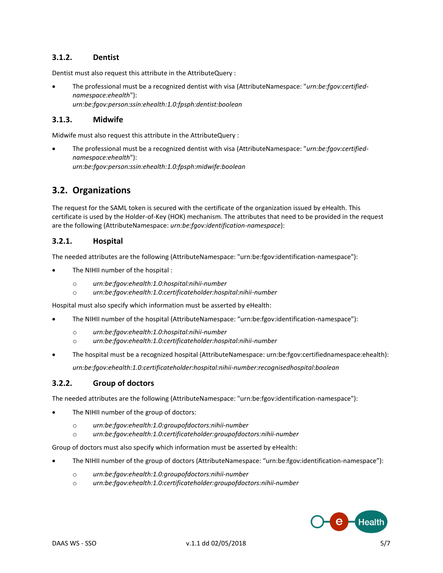#### **3.1.2. Dentist**

Dentist must also request this attribute in the AttributeQuery :

 The professional must be a recognized dentist with visa (AttributeNamespace: "*urn:be:fgov:certifiednamespace:ehealth*"): *urn:be:fgov:person:ssin:ehealth:1.0:fpsph:dentist:boolean*

#### **3.1.3. Midwife**

Midwife must also request this attribute in the AttributeQuery :

 The professional must be a recognized dentist with visa (AttributeNamespace: "*urn:be:fgov:certifiednamespace:ehealth*"): *urn:be:fgov:person:ssin:ehealth:1.0:fpsph:midwife:boolean*

#### **3.2. Organizations**

The request for the SAML token is secured with the certificate of the organization issued by eHealth. This certificate is used by the Holder-of-Key (HOK) mechanism. The attributes that need to be provided in the request are the following (AttributeNamespace: *urn:be:fgov:identification-namespace*):

#### **3.2.1. Hospital**

The needed attributes are the following (AttributeNamespace: "urn:be:fgov:identification-namespace"):

- The NIHII number of the hospital :
	- o *urn:be:fgov:ehealth:1.0:hospital:nihii-number*
	- o *urn:be:fgov:ehealth:1.0:certificateholder:hospital:nihii-number*

Hospital must also specify which information must be asserted by eHealth:

- The NIHII number of the hospital (AttributeNamespace: "urn:be:fgov:identification-namespace"):
	- o *urn:be:fgov:ehealth:1.0:hospital:nihii-number*
	- o *urn:be:fgov:ehealth:1.0:certificateholder:hospital:nihii-number*
- The hospital must be a recognized hospital (AttributeNamespace: urn:be:fgov:certifiednamespace:ehealth): *urn:be:fgov:ehealth:1.0:certificateholder:hospital:nihii-number:recognisedhospital:boolean*

#### **3.2.2. Group of doctors**

The needed attributes are the following (AttributeNamespace: "urn:be:fgov:identification-namespace"):

- The NIHII number of the group of doctors:
	- o *urn:be:fgov:ehealth:1.0:groupofdoctors:nihii-number*
	- o *urn:be:fgov:ehealth:1.0:certificateholder:groupofdoctors:nihii-number*

Group of doctors must also specify which information must be asserted by eHealth:

- The NIHII number of the group of doctors (AttributeNamespace: "urn:be:fgov:identification-namespace"):
	- o *urn:be:fgov:ehealth:1.0:groupofdoctors:nihii-number*
	- o *urn:be:fgov:ehealth:1.0:certificateholder:groupofdoctors:nihii-number*

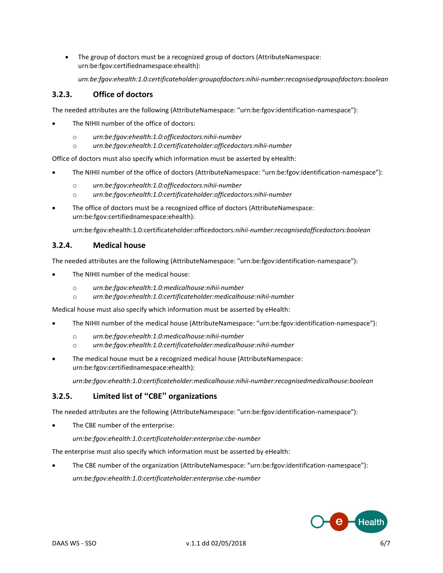The group of doctors must be a recognized group of doctors (AttributeNamespace: urn:be:fgov:certifiednamespace:ehealth):

*urn:be:fgov:ehealth:1.0:certificateholder:groupofdoctors:nihii-number:recognisedgroupofdoctors:boolean*

#### **3.2.3. Office of doctors**

The needed attributes are the following (AttributeNamespace: "urn:be:fgov:identification-namespace"):

- The NIHII number of the office of doctors:
	- o *urn:be:fgov:ehealth:1.0:officedoctors:nihii-number*
	- o *urn:be:fgov:ehealth:1.0:certificateholder:officedoctors:nihii-number*

Office of doctors must also specify which information must be asserted by eHealth:

- The NIHII number of the office of doctors (AttributeNamespace: "urn:be:fgov:identification-namespace"):
	- o *urn:be:fgov:ehealth:1.0:officedoctors:nihii-number*
	- o *urn:be:fgov:ehealth:1.0:certificateholder:officedoctors:nihii-number*
- The office of doctors must be a recognized office of doctors (AttributeNamespace: urn:be:fgov:certifiednamespace:ehealth):

urn:be:fgov:ehealth:1.0:certificateholder:officedoctors*:nihii-number:recognisedofficedoctors:boolean*

#### **3.2.4. Medical house**

The needed attributes are the following (AttributeNamespace: "urn:be:fgov:identification-namespace"):

- The NIHII number of the medical house:
	- o *urn:be:fgov:ehealth:1.0:medicalhouse:nihii-number*
	- o *urn:be:fgov:ehealth:1.0:certificateholder:medicalhouse:nihii-number*

Medical house must also specify which information must be asserted by eHealth:

- The NIHII number of the medical house (AttributeNamespace: "urn:be:fgov:identification-namespace"):
	- o *urn:be:fgov:ehealth:1.0:medicalhouse:nihii-number*
	- o *urn:be:fgov:ehealth:1.0:certificateholder:medicalhouse:nihii-number*
- The medical house must be a recognized medical house (AttributeNamespace: urn:be:fgov:certifiednamespace:ehealth):

*urn:be:fgov:ehealth:1.0:certificateholder:medicalhouse:nihii-number:recognisedmedicalhouse:boolean*

#### **3.2.5. Limited list of "CBE" organizations**

The needed attributes are the following (AttributeNamespace: "urn:be:fgov:identification-namespace"):

The CBE number of the enterprise:

*urn:be:fgov:ehealth:1.0:certificateholder:enterprise:cbe-number*

The enterprise must also specify which information must be asserted by eHealth:

 The CBE number of the organization (AttributeNamespace: "urn:be:fgov:identification-namespace"): *urn:be:fgov:ehealth:1.0:certificateholder:enterprise:cbe-number*